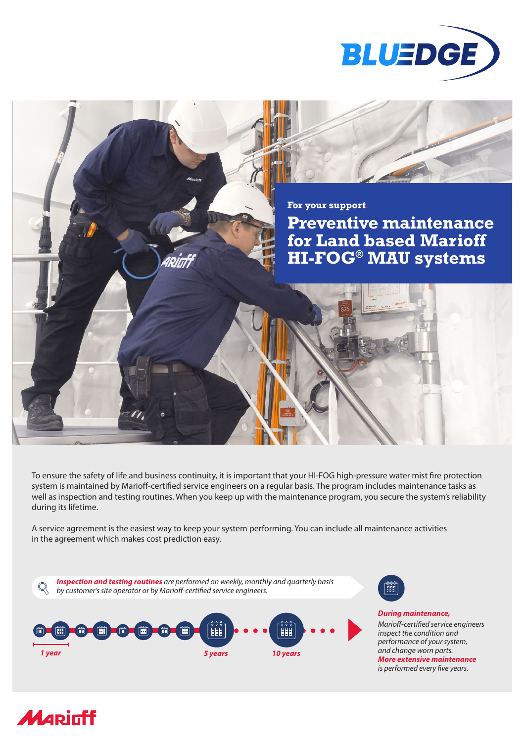



To ensure the safety of life and business continuity, it is important that your HI-FOG high-pressure water mist fire protection system is maintained by Marioff-certified service engineers on a regular basis. The program includes maintenance tasks as well as inspection and testing routines. When you keep up with the maintenance program, you secure the system's reliability during its lifetime.

A service agreement is the easiest way to keep your system performing. You can include all maintenance activities in the agreement which makes cost prediction easy.







*During maintenance, Marioff-certified service engineers inspect the condition and performance of your system, and change worn parts. More extensive maintenance is performed every five years.*